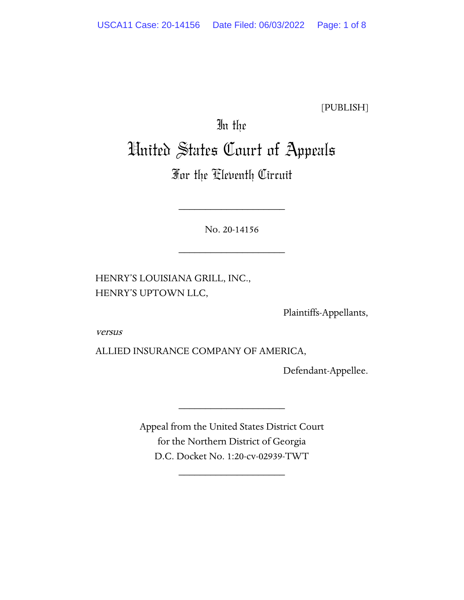[PUBLISH]

# In the United States Court of Appeals

# For the Eleventh Circuit

No. 20-14156

\_\_\_\_\_\_\_\_\_\_\_\_\_\_\_\_\_\_\_\_

\_\_\_\_\_\_\_\_\_\_\_\_\_\_\_\_\_\_\_\_

HENRY'S LOUISIANA GRILL, INC., HENRY'S UPTOWN LLC,

Plaintiffs-Appellants,

versus

ALLIED INSURANCE COMPANY OF AMERICA,

Defendant-Appellee.

Appeal from the United States District Court for the Northern District of Georgia D.C. Docket No. 1:20-cv-02939-TWT

\_\_\_\_\_\_\_\_\_\_\_\_\_\_\_\_\_\_\_\_

\_\_\_\_\_\_\_\_\_\_\_\_\_\_\_\_\_\_\_\_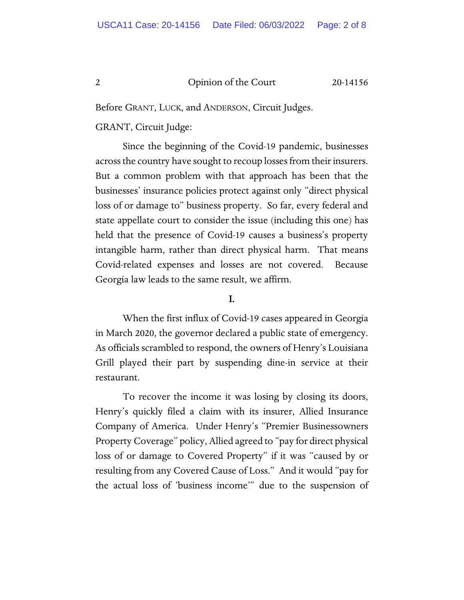Before GRANT, LUCK, and ANDERSON, Circuit Judges.

GRANT, Circuit Judge:

Since the beginning of the Covid-19 pandemic, businesses acrossthe country have sought to recoup losses from their insurers. But a common problem with that approach has been that the businesses' insurance policies protect against only "direct physical loss of or damage to" business property. So far, every federal and state appellate court to consider the issue (including this one) has held that the presence of Covid-19 causes a business's property intangible harm, rather than direct physical harm. That means Covid-related expenses and losses are not covered. Because Georgia law leads to the same result, we affirm.

### I.

When the first influx of Covid-19 cases appeared in Georgia in March 2020, the governor declared a public state of emergency. As officials scrambled to respond, the owners of Henry's Louisiana Grill played their part by suspending dine-in service at their restaurant.

To recover the income it was losing by closing its doors, Henry's quickly filed a claim with its insurer, Allied Insurance Company of America. Under Henry's "Premier Businessowners Property Coverage" policy, Allied agreed to "pay for direct physical loss of or damage to Covered Property" if it was "caused by or resulting from any Covered Cause of Loss." And it would "pay for the actual loss of 'business income'" due to the suspension of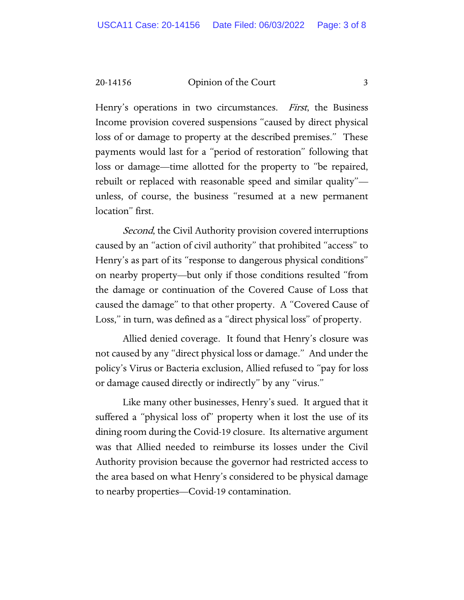20-14156 Opinion of the Court 3

Henry's operations in two circumstances. First, the Business Income provision covered suspensions "caused by direct physical loss of or damage to property at the described premises." These payments would last for a "period of restoration" following that loss or damage—time allotted for the property to "be repaired, rebuilt or replaced with reasonable speed and similar quality" unless, of course, the business "resumed at a new permanent location" first.

Second, the Civil Authority provision covered interruptions caused by an "action of civil authority" that prohibited "access" to Henry's as part of its "response to dangerous physical conditions" on nearby property—but only if those conditions resulted "from the damage or continuation of the Covered Cause of Loss that caused the damage" to that other property. A "Covered Cause of Loss," in turn, was defined as a "direct physical loss" of property.

Allied denied coverage. It found that Henry's closure was not caused by any "direct physical loss or damage." And under the policy's Virus or Bacteria exclusion, Allied refused to "pay for loss or damage caused directly or indirectly" by any "virus."

Like many other businesses, Henry's sued. It argued that it suffered a "physical loss of" property when it lost the use of its dining room during the Covid-19 closure. Its alternative argument was that Allied needed to reimburse its losses under the Civil Authority provision because the governor had restricted access to the area based on what Henry's considered to be physical damage to nearby properties—Covid-19 contamination.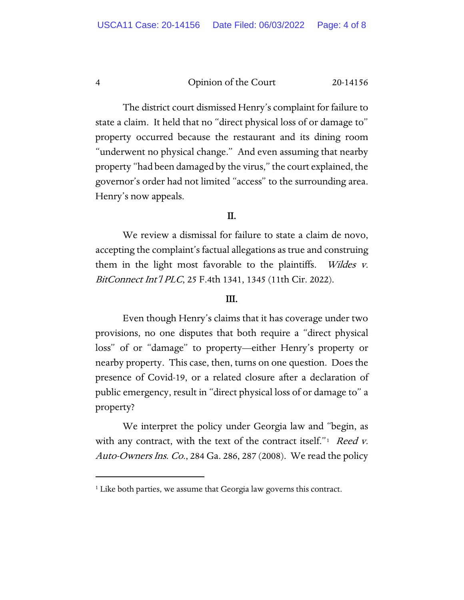The district court dismissed Henry's complaint for failure to state a claim. It held that no "direct physical loss of or damage to" property occurred because the restaurant and its dining room "underwent no physical change." And even assuming that nearby property "had been damaged by the virus," the court explained, the governor's order had not limited "access" to the surrounding area. Henry's now appeals.

## II.

We review a dismissal for failure to state a claim de novo, accepting the complaint's factual allegations as true and construing them in the light most favorable to the plaintiffs. Wildes v. BitConnect Int'l PLC, 25 F.4th 1341, 1345 (11th Cir. 2022).

#### III.

Even though Henry's claims that it has coverage under two provisions, no one disputes that both require a "direct physical loss" of or "damage" to property—either Henry's property or nearby property. This case, then, turns on one question. Does the presence of Covid-19, or a related closure after a declaration of public emergency, result in "direct physical loss of or damage to" a property?

We interpret the policy under Georgia law and "begin, as with any contract, with the text of the contract itself." $\frac{1}{1}$  Reed v. Auto-Owners Ins. Co., 284 Ga. 286, 287 (2008). We read the policy

<span id="page-3-0"></span><sup>&</sup>lt;sup>1</sup> Like both parties, we assume that Georgia law governs this contract.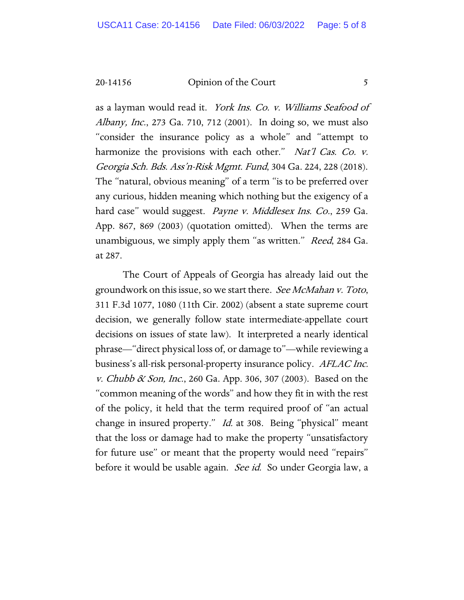20-14156 Opinion of the Court 5

as a layman would read it. York Ins. Co. v. Williams Seafood of Albany, Inc., 273 Ga. 710, 712 (2001). In doing so, we must also "consider the insurance policy as a whole" and "attempt to harmonize the provisions with each other." Nat'l Cas. Co. v. Georgia Sch. Bds. Ass'n-Risk Mgmt. Fund, 304 Ga. 224, 228 (2018). The "natural, obvious meaning" of a term "is to be preferred over any curious, hidden meaning which nothing but the exigency of a hard case" would suggest. Payne v. Middlesex Ins. Co., 259 Ga. App. 867, 869 (2003) (quotation omitted). When the terms are unambiguous, we simply apply them "as written." *Reed*, 284 Ga. at 287.

The Court of Appeals of Georgia has already laid out the groundwork on this issue, so we start there. See McMahan v. Toto, 311 F.3d 1077, 1080 (11th Cir. 2002) (absent a state supreme court decision, we generally follow state intermediate-appellate court decisions on issues of state law). It interpreted a nearly identical phrase—"direct physical loss of, or damage to"—while reviewing a business's all-risk personal-property insurance policy. AFLAC Inc. v. Chubb & Son, Inc., 260 Ga. App. 306, 307 (2003). Based on the "common meaning of the words" and how they fit in with the rest of the policy, it held that the term required proof of "an actual change in insured property." *Id.* at 308. Being "physical" meant that the loss or damage had to make the property "unsatisfactory for future use" or meant that the property would need "repairs" before it would be usable again. *See id.* So under Georgia law, a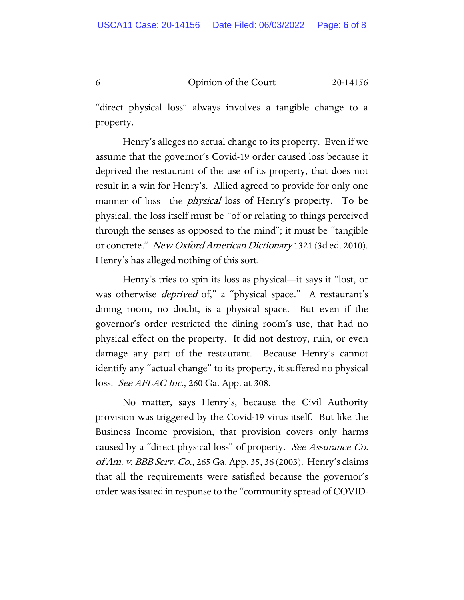"direct physical loss" always involves a tangible change to a property.

Henry's alleges no actual change to its property. Even if we assume that the governor's Covid-19 order caused loss because it deprived the restaurant of the use of its property, that does not result in a win for Henry's. Allied agreed to provide for only one manner of loss—the *physical* loss of Henry's property. To be physical, the loss itself must be "of or relating to things perceived through the senses as opposed to the mind"; it must be "tangible or concrete." New Oxford American Dictionary 1321 (3d ed. 2010). Henry's has alleged nothing of this sort.

Henry's tries to spin its loss as physical—it says it "lost, or was otherwise *deprived* of," a "physical space." A restaurant's dining room, no doubt, is a physical space. But even if the governor's order restricted the dining room's use, that had no physical effect on the property. It did not destroy, ruin, or even damage any part of the restaurant. Because Henry's cannot identify any "actual change" to its property, it suffered no physical loss. *See AFLAC Inc.*, 260 Ga. App. at 308.

No matter, says Henry's, because the Civil Authority provision was triggered by the Covid-19 virus itself. But like the Business Income provision, that provision covers only harms caused by a "direct physical loss" of property. See Assurance Co. of Am. v. BBB Serv. Co., 265 Ga. App. 35, 36 (2003). Henry's claims that all the requirements were satisfied because the governor's order was issued in response to the "community spread of COVID-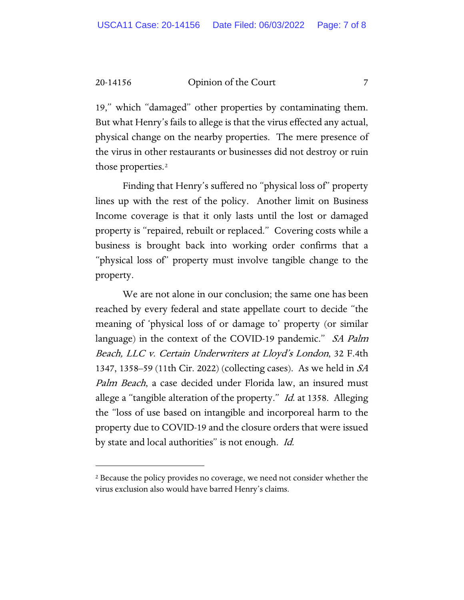#### 20-14156 Opinion of the Court 7

19," which "damaged" other properties by contaminating them. But what Henry's fails to allege is that the virus effected any actual, physical change on the nearby properties. The mere presence of the virus in other restaurants or businesses did not destroy or ruin those properties.[2](#page-6-0)

Finding that Henry's suffered no "physical loss of" property lines up with the rest of the policy. Another limit on Business Income coverage is that it only lasts until the lost or damaged property is "repaired, rebuilt or replaced." Covering costs while a business is brought back into working order confirms that a "physical loss of" property must involve tangible change to the property.

We are not alone in our conclusion; the same one has been reached by every federal and state appellate court to decide "the meaning of 'physical loss of or damage to' property (or similar language) in the context of the COVID-19 pandemic." *SA Palm* Beach, LLC v. Certain Underwriters at Lloyd's London, 32 F.4th 1347, 1358–59 (11th Cir. 2022) (collecting cases). As we held in SA Palm Beach, a case decided under Florida law, an insured must allege a "tangible alteration of the property." *Id.* at 1358. Alleging the "loss of use based on intangible and incorporeal harm to the property due to COVID-19 and the closure orders that were issued by state and local authorities" is not enough. Id.

<span id="page-6-0"></span><sup>&</sup>lt;sup>2</sup> Because the policy provides no coverage, we need not consider whether the virus exclusion also would have barred Henry's claims.